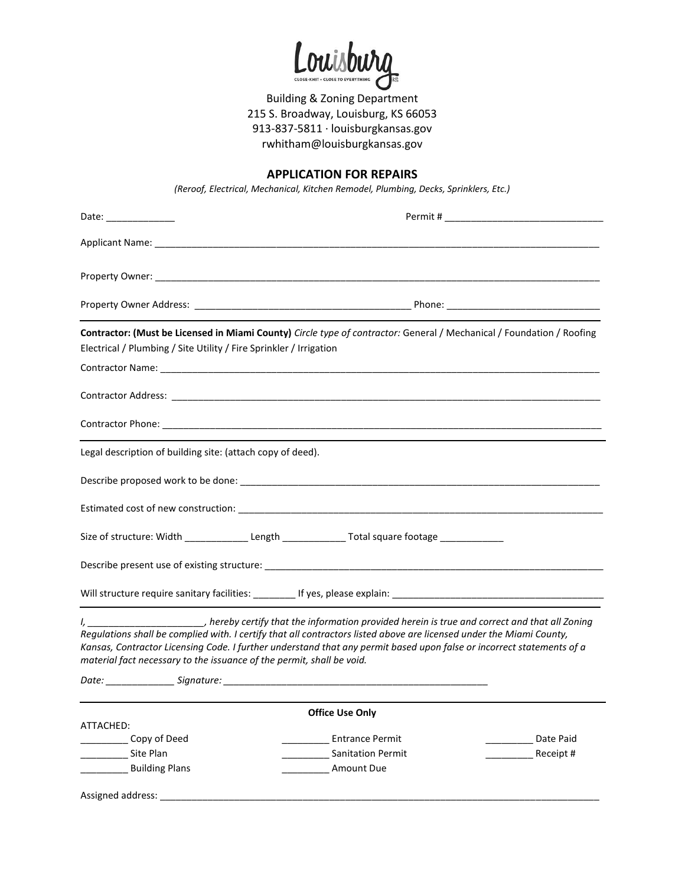Louisburg

Building & Zoning Department 215 S. Broadway, Louisburg, KS 66053 913-837-5811 · louisburgkansas.gov rwhitham@louisburgkansas.gov

## **APPLICATION FOR REPAIRS**

*(Reroof, Electrical, Mechanical, Kitchen Remodel, Plumbing, Decks, Sprinklers, Etc.)* 

| Date: _______________                                                 |                                                                                                                                                                                                                                                                                                                                                                        |
|-----------------------------------------------------------------------|------------------------------------------------------------------------------------------------------------------------------------------------------------------------------------------------------------------------------------------------------------------------------------------------------------------------------------------------------------------------|
|                                                                       |                                                                                                                                                                                                                                                                                                                                                                        |
|                                                                       |                                                                                                                                                                                                                                                                                                                                                                        |
|                                                                       |                                                                                                                                                                                                                                                                                                                                                                        |
| Electrical / Plumbing / Site Utility / Fire Sprinkler / Irrigation    | Contractor: (Must be Licensed in Miami County) Circle type of contractor: General / Mechanical / Foundation / Roofing                                                                                                                                                                                                                                                  |
|                                                                       |                                                                                                                                                                                                                                                                                                                                                                        |
|                                                                       |                                                                                                                                                                                                                                                                                                                                                                        |
|                                                                       |                                                                                                                                                                                                                                                                                                                                                                        |
| Legal description of building site: (attach copy of deed).            |                                                                                                                                                                                                                                                                                                                                                                        |
|                                                                       |                                                                                                                                                                                                                                                                                                                                                                        |
|                                                                       |                                                                                                                                                                                                                                                                                                                                                                        |
|                                                                       | Size of structure: Width ________________Length _________________________________                                                                                                                                                                                                                                                                                      |
|                                                                       |                                                                                                                                                                                                                                                                                                                                                                        |
|                                                                       |                                                                                                                                                                                                                                                                                                                                                                        |
| material fact necessary to the issuance of the permit, shall be void. | I, _____________________, hereby certify that the information provided herein is true and correct and that all Zoning<br>Regulations shall be complied with. I certify that all contractors listed above are licensed under the Miami County,<br>Kansas, Contractor Licensing Code. I further understand that any permit based upon false or incorrect statements of a |
|                                                                       | <b>Office Use Only</b>                                                                                                                                                                                                                                                                                                                                                 |
| ATTACHED:                                                             |                                                                                                                                                                                                                                                                                                                                                                        |
| Copy of Deed                                                          | <b>Entrance Permit</b><br>Date Paid                                                                                                                                                                                                                                                                                                                                    |
| Site Plan                                                             | <b>Sanitation Permit</b><br>Receipt #                                                                                                                                                                                                                                                                                                                                  |
| <b>Building Plans</b>                                                 | <b>Amount Due</b>                                                                                                                                                                                                                                                                                                                                                      |
| Assigned address:                                                     |                                                                                                                                                                                                                                                                                                                                                                        |